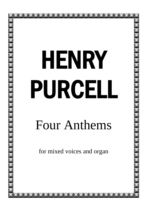# HENRY PURCEL

# Four Anthems

for mixed voices and organ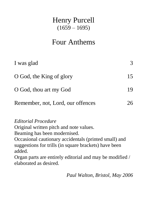### Henry Purcell  $(1659 - 1695)$

## Four Anthems

| I was glad                        |    |
|-----------------------------------|----|
| O God, the King of glory          | 15 |
| O God, thou art my God            | 19 |
| Remember, not, Lord, our offences | 6  |

*Editorial Procedure*

Original written pitch and note values.

Beaming has been modernised.

Occasional cautionary accidentals (printed small) and suggestions for trills (in square brackets) have been added.

Organ parts are entirely editorial and may be modified / elaborated as desired.

*Paul Walton, Bristol, May 2006*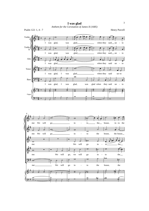3<br>K  $\frac{3}{2}$ <u>3</u>  $\frac{3}{2}$ <u>3</u>  $\frac{3}{2}$ <u>3</u>  $\frac{3}{2}$ <u>ង្គ</u>  $\frac{3}{2}$ ង្គ ž <u>3</u> Treble I Treble II Alto Tenor Bass Organ ŕ ľ  $\left\langle \right\vert$  $6^{\frac{1}{2}}$ I  $\overline{P}$ was  $\overline{P}$ glad,  $\bullet$ was  $\overline{\mathbf{e}}$ glad ŕ  $5 - 5$  $\sqrt{1-\beta}$  $\sum_{i=1}^{n}$ when they r  $\overline{P}$ said  $\widehat{\mathbf{H}}$ ₹ un Ō. to  $\overline{\phantom{0}}$ -  $\frac{\sqrt{2}}{2}$ . I  $\overline{\mathbf{a}}$ was  $\frac{1}{2}$ glad,  $\overline{\bullet}$ was ᆉ glad  $\dot{\mathbf{5}}$  $\sqrt{1-\frac{1}{2}}$  $\frac{1}{\sqrt{1-\frac{1}{2}}}$  $\sum_{i=1}^{n}$ when they  $\bullet$  $\overline{\phantom{0}}$ said  $\widehat{\cdot}$ ₹ un  $\overline{J}$ . to  $\overline{\phantom{0}}$ -  $\frac{\sqrt{2}}{2}$ . I  $\overline{z}$ was  $\overline{\partial}$ glad ₹  $\overline{B}$  $\overline{\phantom{a}}$ . h  $\cdot$   $\cdot$  $\begin{array}{c|c}\n\phi & \phi\n\end{array}$ when they  $\overline{\phantom{0}}$  $\overline{\mathbb{P}}$ said  $\overline{d}$ un  $\frac{1}{\sigma}$ to  $\overline{\phantom{a}}$ -  $\Phi$   $\frac{4}{2}$  -I  $\overline{d}$ was  $\frac{1}{2}$ glad,  $\overline{d}$ I  $\overline{P}$ was  $\overline{P}$ glad  $\overbrace{\mathbf{0}}$ . when they  $\overline{\phantom{0}}$  $\frac{1}{2}$ said  $\frac{1}{2}$ un-to  $\overline{\phantom{0}}$  $\overline{d}$ 9∺3 -I  $\exists$ was  $\overline{d}$ glad, ρ I ρ was ρ glad,  $\bullet$ was  $\overline{d}$ glad when  $\overline{d}$  $\frac{1}{2}$ they said  $\overline{\phantom{0}}$  $\overline{a}$ un  $\frac{1}{2}$ to  $\overline{\phantom{0}}$ -  $\frac{2}{9}$   $\frac{1}{2}$   $\frac{1}{3}$ ट्ट्रे <u>s s</u> ₫  $\frac{1}{2}$  8  $\frac{1}{2}$ ₫  $\frac{1}{8}$  $\frac{3}{8}$   $\frac{2}{8}$ g  $\begin{array}{c|cc} & 8 & & \text{g} \ & 8 & & \text{g} \end{array}$ ₫ ₫ \$ \$ ₫ g<br>P  $\frac{1}{2}$  $\frac{3}{6}$ .  $\overline{\phantom{a}}$  $\frac{1}{\epsilon}$  $9: \frac{2}{2}$  .  $\begin{array}{|c|c|c|c|c|}\n\hline\n\text{~~} & \text{\large $\rho$} & \text{\large $\phi$} & \text{\large $\phi$} \\\hline\n\text{~~} & \text{\large $\rho$} & \text{\large $\phi$} & \text{\large $\phi$} & \text{\large $\phi$} \\\hline\n\end{array}$  $\begin{array}{ccc} \circ & \circ \\ \circ & \circ \end{array}$  $\circ$   $\overrightarrow{\hspace{1cm}}$ 



#### Psalm 122: 1, 4 - 7 Henry Purcell *Anthem for the Coronation of James II (1685)* **I was glad**

3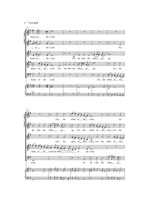

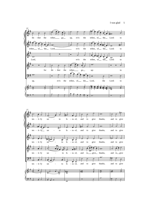

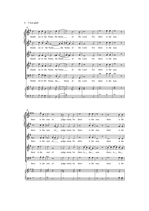

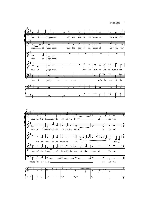

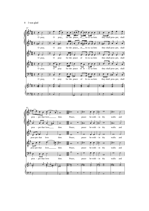

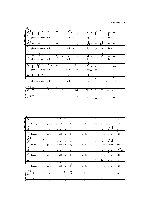

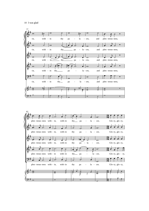10 I was glad



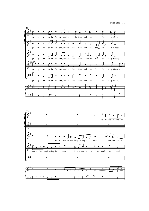

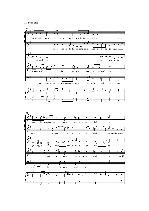12 I was glad



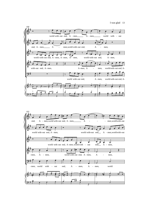

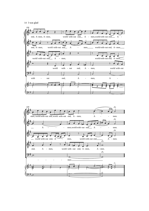14 I was glad



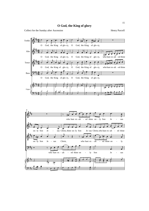Collect for the Sunday after Ascension Henry Purcell



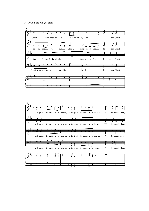16 O God, the King of glory



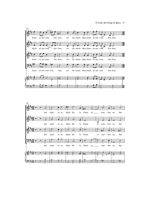

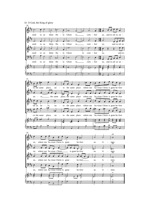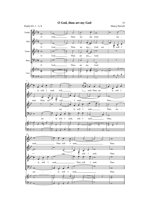

19

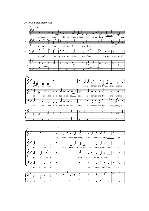



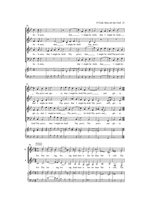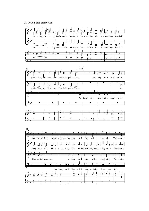



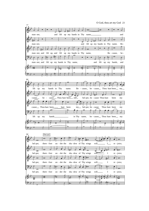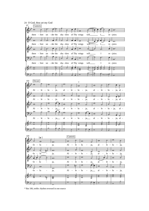| o.<br>෬<br>$\mathbf{e}$ .<br>$\bullet$<br>there - fore un - der the sha-dow of Thy wings will<br>re - joice.<br>ᡴ<br>Å<br>$\overline{\mathbf{o}}$ .<br>re - joice.<br>there - fore un - der the sha-dow of Thy wings<br>will<br>$\mathbf o$<br>$\overline{\mathbf{e}}$<br>o.<br>$\sigma$<br>$\frac{6}{8}$<br>there - fore un - der the sha-dow of Thy wings<br>$will$ I<br>re - joice.<br>$\bullet$<br>$\overline{\mathbf{a}}$<br>A<br>$\overline{\mathbf{e}}$ .<br>there - fore un - der the sha-dow of Thy wings will<br>re - joice.<br>Ι<br>$\bullet$<br>$\mathbf{C}$<br>$\mathbf{e}$<br>8<br>$\mathbf{o}$<br>$\mathbf \sigma$<br>ᡴ<br>$\mathbf{\sigma}$ | 97 | Cantoris |  |           |  |  |  |
|-------------------------------------------------------------------------------------------------------------------------------------------------------------------------------------------------------------------------------------------------------------------------------------------------------------------------------------------------------------------------------------------------------------------------------------------------------------------------------------------------------------------------------------------------------------------------------------------------------------------------------------------------------------|----|----------|--|-----------|--|--|--|
|                                                                                                                                                                                                                                                                                                                                                                                                                                                                                                                                                                                                                                                             |    |          |  |           |  |  |  |
|                                                                                                                                                                                                                                                                                                                                                                                                                                                                                                                                                                                                                                                             |    |          |  |           |  |  |  |
|                                                                                                                                                                                                                                                                                                                                                                                                                                                                                                                                                                                                                                                             |    |          |  |           |  |  |  |
|                                                                                                                                                                                                                                                                                                                                                                                                                                                                                                                                                                                                                                                             |    |          |  |           |  |  |  |
|                                                                                                                                                                                                                                                                                                                                                                                                                                                                                                                                                                                                                                                             |    |          |  |           |  |  |  |
|                                                                                                                                                                                                                                                                                                                                                                                                                                                                                                                                                                                                                                                             |    |          |  |           |  |  |  |
|                                                                                                                                                                                                                                                                                                                                                                                                                                                                                                                                                                                                                                                             |    |          |  |           |  |  |  |
|                                                                                                                                                                                                                                                                                                                                                                                                                                                                                                                                                                                                                                                             |    |          |  |           |  |  |  |
|                                                                                                                                                                                                                                                                                                                                                                                                                                                                                                                                                                                                                                                             |    |          |  |           |  |  |  |
| $\overline{\mathbf{a}}$<br>$\overline{\bullet}$<br>$\overline{\mathbf{e}}$                                                                                                                                                                                                                                                                                                                                                                                                                                                                                                                                                                                  |    |          |  | $\bullet$ |  |  |  |

| 103<br>Decani<br>$\ast$                                                                                                                                                                      |                                                                                                 |
|----------------------------------------------------------------------------------------------------------------------------------------------------------------------------------------------|-------------------------------------------------------------------------------------------------|
| $\mathbf o$<br>$\bullet$<br>$\mathbf \Theta$<br>Θ<br>$\sigma$                                                                                                                                | o<br>$\bullet$                                                                                  |
| $-$ le $-$ lu<br>$-$ ja,<br>Al<br>$-$ le<br>lu<br>ja,<br>al<br>$\sim$<br>$\sim$                                                                                                              | al<br>$-$ le<br>lu<br>$-$ ja, al $-$<br>$\sim$                                                  |
| $\bullet$<br>Θ<br>$\sigma$<br>π<br>᠊ᠬ                                                                                                                                                        | $\mathbf \sigma$<br>10                                                                          |
| ↵<br>Al<br>le<br>ja,<br>le<br>lu<br>lu<br>al<br>ja,<br>$\sim$ $-$<br>$\blacksquare$<br>$\blacksquare$<br>÷,<br>$\overline{\phantom{a}}$<br>$\overline{\phantom{a}}$                          | al<br>le<br>lu<br>ja, al -<br>$\blacksquare$<br>$\overline{\phantom{a}}$<br>÷                   |
| $\bullet$<br>$\bm{\sigma}$<br>$\bullet$<br>$\mathbf \Theta$<br>╭                                                                                                                             | $\bullet$<br>Θ                                                                                  |
| Al<br>le - lu<br>al<br>ja,<br>le<br>lu<br>$\blacksquare$<br>$\sim$<br>ja,<br>$\overline{\phantom{a}}$<br>$\frac{1}{2}$<br>$\overline{\phantom{m}}$                                           | al<br>- lu - ja,<br>- al<br>$-$ le                                                              |
| $\Omega$<br>$\Omega$<br>$\mathbf o$<br>$\bullet$                                                                                                                                             | $\bullet$                                                                                       |
| Al<br>le<br>le<br>$-lu$<br>ja,<br>lu<br>al<br>$\overline{\phantom{a}}$<br>$\blacksquare$<br>$\overline{\phantom{a}}$<br>$\overline{\phantom{a}}$<br>$ja_{\cdot}$<br>$\overline{\phantom{a}}$ | le<br>al<br>ja, al -<br>lu<br>$\sim 10$<br>$\overline{\phantom{a}}$<br>$\overline{\phantom{m}}$ |
| $\sigma$<br>$\overline{\bullet}$<br>$\bullet$<br>$\bullet$<br>8<br>\$<br>$\mathbf{\sigma}$<br>୷<br>$\overline{\mathbf{e}}$<br>$\overline{\bullet}$                                           | <del>유</del><br>ъź<br>7.                                                                        |
| $\Omega$<br>$\Omega$<br>$\mathbf \tau$                                                                                                                                                       | $\bullet$<br>母                                                                                  |

| 109<br>$[\mathbf{tr}]$                                 |                                | Cantoris                                       |                                                               |                                                                  |                                           |
|--------------------------------------------------------|--------------------------------|------------------------------------------------|---------------------------------------------------------------|------------------------------------------------------------------|-------------------------------------------|
| ė<br>$\bullet$                                         | $\overline{\mathbf{C}}$        | -,<br>$\mathbf \sigma$                         | $\mathbf \sigma$<br>7                                         | $\bullet$                                                        | $\bullet$                                 |
| $-le -$<br>lu<br>٠                                     | ja.                            | Al<br>le<br>$\blacksquare$                     | ja,<br>lu<br>$\sim$<br>$\overline{\phantom{a}}$               | $le - lu$<br>al<br>$\overline{\phantom{a}}$                      | ja,<br>$\overline{\phantom{a}}$           |
| A<br>bб                                                | $\mathbf{o}$                   | Θ<br>$\sigma$                                  | $\sigma$<br>↵                                                 | $\mathbf \sigma$                                                 | ↗<br>π                                    |
| $-le -$<br>lu                                          | ja,                            | Al<br>le<br>$\overline{\phantom{a}}$           | lu<br>ja,<br>$\sim$<br>$\overline{\phantom{a}}$               | al<br>le<br>$\overline{\phantom{a}}$                             | $-$ lu<br>ja,<br>$\overline{\phantom{a}}$ |
|                                                        | $\mathbf{o} \cdot$             | $\mathbf \sigma$                               | $\mathbf \sigma$<br>╭                                         | $\overline{\phantom{a}}$                                         | Θ<br>$\bullet$                            |
| lu<br>$-le -$<br>$\qquad \qquad \blacksquare$          | ja,                            | Al<br>le<br>$\overline{\phantom{a}}$           | ja,<br>lu<br>$\blacksquare$<br>$\overline{\phantom{a}}$       | le<br>al<br>$\overline{\phantom{a}}$<br>$\overline{\phantom{a}}$ | lu<br>ja,<br>$\overline{\phantom{a}}$     |
| $\cdot$ . D<br>$\sigma$                                |                                | $\bullet$<br>٣σ                                | $\bullet$<br>$\bullet$ be                                     | $\bullet$<br>7                                                   | $\bullet$                                 |
| 7<br>-le<br>lu<br>$\overline{\phantom{a}}$<br>٠        | $\overline{\mathbf{O}}$<br>ja, | Al<br>le<br>$\overline{\phantom{a}}$           | lu<br>$ja$ <sub>—</sub><br>$\sim$<br>$\overline{\phantom{a}}$ | le<br>al<br>$\overline{\phantom{a}}$<br>$\overline{\phantom{a}}$ | lu<br>ja,<br>$\overline{\phantom{a}}$     |
| $\overline{\bullet}$<br>з<br>牾<br>$\overline{\bullet}$ | $\frac{1}{3}$                  | $\mathbf{o}$<br>다<br>⋥<br>$\overline{\bullet}$ | $\circ$<br>▱<br>$\overline{\bullet}$<br>귱                     | है                                                               | $\frac{8}{6}$<br>⋴                        |
| $\sigma$                                               | $\overline{\mathbf{o}}$        | $\bullet$                                      | $\bullet$<br>$\mathcal{P}$                                    | $\overline{\bullet}$                                             | $\overline{\bullet}$                      |
|                                                        |                                |                                                |                                                               |                                                                  |                                           |

\* Bar 106, treble: rhythm reversed in one source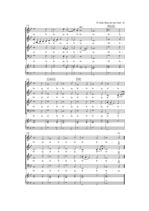|                                                      |                                                                                  |                                                                                  |                                                                  |                                           | O God, thou art my God 25                                            |
|------------------------------------------------------|----------------------------------------------------------------------------------|----------------------------------------------------------------------------------|------------------------------------------------------------------|-------------------------------------------|----------------------------------------------------------------------|
| 115                                                  |                                                                                  |                                                                                  | $[\mathbf{tr}]$                                                  |                                           | Decani                                                               |
| $\sigma$                                             |                                                                                  |                                                                                  | O                                                                | $\overline{\mathbf{e}}$                   | ‡Θ<br>Θ                                                              |
| О.<br>al                                             | $\rm le$<br>lu<br>L,                                                             | ja,<br>$\mathop{\rm al}\nolimits$<br>÷,                                          | $le -lu$<br>÷,                                                   | ja.                                       | Al<br>le -<br>÷,                                                     |
|                                                      | Θ                                                                                | 6                                                                                |                                                                  |                                           | $\bullet$<br>0                                                       |
| al                                                   | $\frac{1}{2}$ - lu<br>ja,<br>$\sim$                                              | Ò<br>$\operatorname{al}$<br>le<br>÷,                                             | $\overline{\mathbf{o}}$<br>lu<br>÷,<br>$\overline{\phantom{a}}$  | $\overline{\mathbf{o}}$<br>ja.            | Al<br>le -<br>÷,                                                     |
| Θ                                                    | 0                                                                                | ग्र                                                                              | 6                                                                | $\mathbf{e}$ .                            | $\bullet$<br>ρ                                                       |
| al                                                   | le<br>lu<br>÷,<br>÷,                                                             | ja, al<br>le<br>$\Box$                                                           | lu<br>÷,                                                         | ja.                                       | A <sub>1</sub><br>le -<br>L.                                         |
| $\mathbf o$                                          | Θ                                                                                | ↗                                                                                | $\mathbf \Theta$                                                 |                                           | $\mathbf{\Omega}$<br>ρ                                               |
| al                                                   | le<br>$\ln$                                                                      | ja,<br>al<br>le<br>$\frac{1}{2}$                                                 | lu<br>$\Box$                                                     | $\overline{\mathbf{o}}$ .<br>ja.          | Al<br>le                                                             |
| g                                                    |                                                                                  |                                                                                  |                                                                  | $\overline{\mathbf{e}}$                   | l8                                                                   |
|                                                      |                                                                                  |                                                                                  | $\frac{\sigma}{\sigma}$                                          | $\overline{\mathbf{B}}$                   |                                                                      |
|                                                      | $\mathbf \sigma$                                                                 |                                                                                  | $\overline{\bullet}$                                             | $\overline{\mathbf{e}}$                   | $\mathbf{o}$                                                         |
| 120                                                  | Cantoris                                                                         |                                                                                  | Full                                                             |                                           |                                                                      |
| $\mathbf o$                                          | $\mathbf o$                                                                      | Θ<br>$\mathbf{\Theta}$                                                           | $\mathbf \Theta$                                                 | Θ<br>$\mathbf o$                          | $\bullet$                                                            |
| -lu<br>ja,                                           | al<br>le                                                                         | $-1u$<br>ja,<br>$\overline{a}$                                                   | le<br>- lu<br>al<br>$\frac{1}{2}$                                | ja,                                       | le<br>al                                                             |
|                                                      |                                                                                  |                                                                                  |                                                                  |                                           |                                                                      |
| $\mathbf \Theta$<br>Θ<br>$\mathbf{-lu}$<br>ja,<br>ä, | ♂<br>$\Omega$<br>$l$ e<br>al<br>$\sim$<br>÷,                                     | $\Omega$<br>ø<br>ja,<br>lu<br>÷,                                                 | ರ<br>$\overline{\mathbf{e}}$<br>$l$ e<br>al<br>$\sim$<br>÷,      | $\overline{\mathbf{e}}$<br>♂<br>ja,<br>lu | Þ<br>al<br>le                                                        |
| $\mathbf o$                                          | $\mathbf o$                                                                      | $\bullet$<br>Θ                                                                   | $\bullet$                                                        | $\mathbf o$                               |                                                                      |
| ę<br>-lu<br>ja,                                      | $l$ e<br>al<br>$\sim$<br>$\overline{\phantom{m}}$                                | lu<br>ja,<br>-                                                                   | al<br>le<br>$\overline{\phantom{m}}$<br>$\overline{\phantom{a}}$ | lu<br>ja,                                 | le<br>al<br>÷,<br>$\overline{\phantom{a}}$                           |
| 710<br>σ                                             | $\bullet$<br>20                                                                  | $\bullet$<br>P                                                                   | $\Omega$                                                         | $\mathbf \Theta$                          |                                                                      |
| -lu<br>ja,<br>÷                                      | $l$ e<br>al<br>$\overline{\phantom{m}}$                                          | - lu<br>ja,<br>÷,                                                                | Ο<br>le<br>al<br>$\frac{1}{2}$                                   | O<br>$-1u$<br>ja,                         | $\overline{\mathbf{o}}$<br>ರ<br>al<br>le<br>$\overline{a}$           |
|                                                      |                                                                                  |                                                                                  |                                                                  |                                           |                                                                      |
| $\frac{1}{6}$<br>$\overline{\bullet}$                | $\frac{8}{9}$<br>g                                                               | $\overline{\mathbf{g}}$ :<br>ত                                                   | $\overline{\frac{8}{3}}$<br>g                                    | $\frac{8}{8}$                             | $\frac{8}{9}$                                                        |
| ℡<br>σ                                               | $\overline{\bullet}$<br>ÞΡ                                                       | $\overline{\bullet}$<br>₽                                                        | $\overline{\mathbf{C}}$                                          | $\bullet$                                 |                                                                      |
| 126                                                  |                                                                                  |                                                                                  |                                                                  |                                           | $\overline{\mathbf{o}}$<br>$\bigcap$                                 |
|                                                      | $\overline{\bullet}$<br>♂                                                        | Θ<br>$\mathbf{\Omega}$                                                           | $\mathbf \Theta$                                                 |                                           | ▌<br>Ō<br>$\mathbf \Theta$                                           |
| $-lu$<br>ja,<br>$\omega_{\rm{eff}}$                  | $\mathop{\rm al}\nolimits$<br>1e<br>$\overline{\phantom{a}}$                     | $-$ lu $-$<br>ja,                                                                | $\mathop{\rm al}\nolimits$<br>$\blacksquare$                     | $l$ e<br>$\overline{\phantom{a}}$         | $_{\rm lu}$<br>ja.<br>$\Box$                                         |
|                                                      |                                                                                  |                                                                                  |                                                                  |                                           | $\curvearrowright$<br>$\frac{1}{4}$                                  |
| ರ<br>$\bullet$<br>-lu<br>ja,<br>÷                    | $\overline{\mathbf{e}}$<br>ಶ<br>$\rm le$<br>$\mathop{\rm al}\nolimits$<br>$\sim$ | $\overline{\mathbf{e}}$<br>ರ<br>$_{\rm lu}$<br>ja,<br>$\equiv$<br>$\blacksquare$ | $\overline{\bullet}$<br>al<br>$\blacksquare$                     | le                                        | ರ<br>$\overline{\mathbf{o}}$<br>$_{\rm lu}$<br>ja.<br>$\blacksquare$ |
| Θ                                                    | $\overline{\bullet}$                                                             | $\mathbf{o}$                                                                     |                                                                  |                                           | ⌒<br>┨                                                               |
| $\mathbf{o}$<br>$\mathbf{-lu}$<br>ja,                | $\mathop{\rm al}\nolimits$<br>$1\mathrm{e}$                                      | ρ                                                                                | ∙                                                                | $1\mathrm{e}$                             | $\overline{\mathbf{o}}$<br>$\rm l\rm u$                              |
| $\blacksquare$                                       | $\blacksquare$                                                                   | $_{\rm lu}$<br>ja,<br>$\Box$<br>$\overline{\phantom{a}}$<br>$\overline{\bullet}$ | al<br>$\overline{\phantom{a}}$                                   | $\bar{\phantom{a}}$                       | ja.<br><br>÷,                                                        |
| $\overline{\bullet}$                                 | $\Omega$<br>d                                                                    | J                                                                                | $\bullet$                                                        | ರ                                         | Ï<br>ठ<br>$\overline{\mathbf{o}}$                                    |
| $-lu$<br>ja,<br>$\Box$                               | $\mathop{\rm al}\nolimits$<br>$1\mathrm{e}$<br>$\overline{\phantom{a}}$          | $_{\rm lu}$<br>ja,<br>$\Box$<br>$\Box$                                           | $\mathop{\rm al}\nolimits$                                       | $1\mathrm{e}$<br>$\blacksquare$           | $\rm l\rm u$<br>ja.<br>$\hat{\phantom{a}}$                           |
| $\frac{8}{8}$                                        | $\frac{8}{5}$<br>g                                                               | $\frac{8}{8}$<br>g                                                               | $\frac{8}{9}$                                                    | ⇁                                         | $\frac{8}{8}$                                                        |
|                                                      |                                                                                  | $\overline{\bullet}$                                                             |                                                                  |                                           | $\Omega$                                                             |
|                                                      | $\circ$                                                                          |                                                                                  | $\sigma$                                                         |                                           | $\overline{\mathbf{e}}$ :                                            |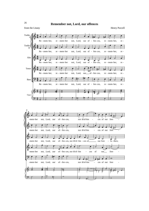4 4 4  $\frac{4}{4}$ 4  $\frac{4}{4}$ 4 4 4 4 4 1 4 1 from the Litany Henry Purcell Treble I Treble II Alto Tenor Bass Organ ŕ ľ  $\left\{\right\}$  $\Phi$ Re - mem ber, - re  $\overline{\phantom{0}}$  $\overline{\phantom{0}}$  $\overline{z}$  $\overline{\phantom{a}}$ mem - ber  $\overline{\phantom{0}}$  $\overline{\phantom{0}}$ -ber not, Lord,  $\overline{\phantom{0}}$  $\overline{\phantom{0}}$ our of - fen-ces, re  $\overline{\phantom{a}}$  $\overline{\phantom{a}}$  $\overline{\bullet}$  $\overline{d}$  $\overline{\bullet}$ - mem-ber, re  $\overline{\phantom{a}}$  $\overline{\phantom{0}}$  $\overline{\phantom{a}}$ re- $\Phi$ Re - mem ber, - re  $\overline{\phantom{a}}$  $\overline{\phantom{a}}$  $\exists$ ⋡• mem - ber  $\overline{\phantom{a}}$  $\overline{d}$ -ber not, Lord, <del>J</del>  $\exists$ our of - fen-ces, re  $\overline{\phantom{0}}$  $\overline{\phantom{a}}$  $\overline{\phantom{a}}$  $\exists$  $\overline{\phantom{a}}$ - mem-ber, re  $\bullet$ p P re- $\Phi$  $\overrightarrow{Re}$  -  $\overrightarrow{Re}$  re  $\overline{\phantom{0}}$ mem - ber  $\overline{\phantom{0}}$  $\overline{a}$  $\overrightarrow{c}$   $\overrightarrow{d}$   $\overrightarrow{d}$   $\overrightarrow{c}$   $\overrightarrow{c}$   $\overrightarrow{c}$   $\overrightarrow{c}$   $\overrightarrow{c}$   $\overrightarrow{c}$   $\overrightarrow{c}$   $\overrightarrow{c}$   $\overrightarrow{c}$   $\overrightarrow{c}$   $\overrightarrow{c}$   $\overrightarrow{c}$   $\overrightarrow{c}$   $\overrightarrow{c}$   $\overrightarrow{c}$   $\overrightarrow{c}$   $\overrightarrow{c}$   $\overrightarrow{c}$   $\overrightarrow{c}$   $\overrightarrow{c}$   $\overrightarrow{c}$   $\overrightarrow{$  $\overline{\phantom{0}}$  $\exists$  $\overline{\phantom{0}}$  $\overline{\phantom{a}}$ - mem-ber, re  $\overline{\bullet}$  $\frac{1}{2}$  $\overline{\bullet}$ re- $\Phi$  $\frac{Q}{g}$  Re - mem-ber, re  $\overline{\phantom{a}}$  $\overline{\phantom{a}}$  $\overline{d}$ r - mem ber  $\overline{\phantom{0}}$  $\overline{\phantom{0}}$ -ber not, Lord, our<sub>-of-fen-ces, re</sub>  $\overline{\bullet}$  $\overline{a}$ é  $\epsilon$   $\epsilon$  $\overline{\mathbb{t}^d}$  $\overline{\bullet}$ - mem-ber, re  $\overline{\phantom{0}}$  $\overline{a}$  $\overline{\phantom{a}}$ re-<u>ี่คุะ</u> Re - mem ber, - re  $\overline{\phantom{a}}$  $\overline{\phantom{a}}$  $\overline{\partial}$  $\overline{\phantom{0}}$ - mem ber  $\overline{\phantom{0}}$ e -ber not, Lord,  $\overline{\phantom{a}}$ ‡e our of - fen-ces, re **‡e** P  $\overline{\phantom{a}}$  $\overline{\phantom{0}}$  $\overline{\phantom{a}}$ - mem-ber, re  $\overline{\phantom{0}}$  $\overline{a}$  $\overline{\phantom{0}}$ re- $\frac{64}{9}$  $\frac{1}{2}$ g  $\frac{1}{2}$  $\overline{1}$  $\frac{1}{2}$ ş  $\frac{8}{2}$  $\frac{8}{3}$ a  $rac{1}{2}$  $\frac{1}{2}$ ş  $\frac{1}{2}$   $\frac{1}{2}$   $\frac{1}{2}$ <u>डा</u><br>‡ट ş  $\frac{1}{2}$ é  $\overline{\phantom{a}}$  $\frac{1}{2}$  $\overline{\phantom{a}}$ P  $\frac{1}{2}$  ,  $\frac{1}{2}$  ,  $\frac{1}{2}$  ,  $\frac{1}{2}$  ,  $\frac{1}{2}$  ,  $\frac{1}{2}$  ,  $\frac{1}{2}$  ,  $\frac{1}{2}$  ,  $\frac{1}{2}$  ,  $\frac{1}{2}$  ,  $\frac{1}{2}$  ,  $\frac{1}{2}$  ,  $\frac{1}{2}$  ,  $\frac{1}{2}$  ,  $\frac{1}{2}$  ,  $\frac{1}{2}$  ,  $\frac{1}{2}$  ,  $\frac{1}{2}$  ,  $\frac{1$ *6* ŕ ľ  $\Phi$ -mem-ber not,  $\overline{\phantom{a}}$  $\overline{\partial}$  $\overline{\phantom{a}}$ Lord, our  $\overline{\nu}$  $\overline{\phantom{a}}$ of - fen - ces, nor  $\overline{\phantom{a}}$ h  $\overline{\bullet}$  $\frac{1}{\phi}$  $\overline{\phantom{0}}$ th'of-fen  $\overline{\phantom{0}}$ é è - ces of our fore  $\overline{\bullet}$  $\overline{\phantom{0}}$  $\overline{\phantom{0}}$  $\leftarrow$ -  $\Phi$ -mem-ber not,  $\overline{\phantom{0}}$ p  $\overline{\phantom{0}}$ Lord, our  $\overline{2}$  $\overline{\cdot}$ of  $\overline{\mathbf{R}}$ ₹ - fen-ces, nor  $\overline{\phantom{0}}$  $\frac{1}{\sigma}$  $\overline{\phantom{a}}$ th'of-fen  $\overline{\phantom{a}}$ र्  $\overline{\phantom{a}}$ - ces of our fore  $\overline{\phantom{a}}$  $\overline{\phantom{a}}$  $\overline{\phantom{a}}$  $\overline{\mathcal{L}^{\sharp\sigma}}$ -  $\Phi$ mem - ber  $\overline{\phantom{0}}$  $\overline{a}$ -ber not, Lord, our  $\overline{\phantom{0}}$  $\overline{a}$  $\overline{\phantom{a}}$ of  $\overline{\phantom{a}}$  $\overline{b}$ fen  $\overline{\phantom{a}}$ - fen-ces,  $\overline{\phantom{a}}$ -ces, nor  $\overline{\phantom{a}}$ th'of  $\overline{\phantom{a}}$ - fen - ces of  $\overline{\cdot}$  $\overline{\phantom{a}}$ h  $\overline{\epsilon}$  ,  $\overline{\epsilon}$ our fore  $\overline{\phantom{a}}$  $\overrightarrow{\sigma}$   $\overrightarrow{\sigma}$ .<br>
ore - fa - thers;  $\Phi$  $\sum_{m=1}^{\infty}$  $\overline{\phantom{a}}$  $\exists$ -ber not, Lord, our  $\overline{\phantom{a}}$  $\overline{\phantom{0}}$  $\overline{\cdot}$ of - fen-ces, nor th'of-fen - ces  $\overline{\phantom{0}}$  $\overline{b}$  $\overline{\phantom{a}}$  $\overline{\phantom{a}}$  $\frac{1}{\bullet}$  $\overline{\phantom{0}}$  $\overline{P}$  $\overline{\phantom{0}}$ - ces of  $\overline{d}$ our  $\overline{\bigcup}$ fore  $\frac{1}{2}$ - <u> 9:</u> mem - ber  $\overline{\phantom{0}}$  $\overline{\mathbf{e}}$ -ber not, Lord, our  $\overline{\phantom{0}}$  $\overline{\phantom{0}}$ 4€ of - fen-ces, nor  $\overline{\mathbf{f}}$ ₹ r o.  $\overline{\phantom{0}}$ th'of-fen  $\overline{\phantom{a}}$ ‡ट्  $\overline{\bullet}$ - ces of our fore ₽  $\overline{\phantom{a}}$  $\overline{\phantom{a}}$  $\overline{\bullet}$ -

 $\left\langle \right\vert$ G 3 g  $\frac{1}{2}$  $\frac{1}{2}$  $\frac{1}{2}$ ş  $\overline{\phantom{a}}$   $\overline{\phantom{a}}$ g  $\frac{1}{2}$  $\frac{1}{2}$   $\frac{1}{3}$ l,  $\frac{8}{2}$   $\frac{8}{2}$  $\frac{1}{2}$   $\sim$   $\sim$  $\overset{\circ}{\circ}\overset{\bullet}{\circ}\overset{\bullet}{\circ}$  $\frac{1}{2}$   $\frac{1}{2}$  $\overline{\phantom{a}}$  $\frac{1}{2}$  #8  $\frac{1}{2}$  .  $\frac{1}{2}$  is the contract of  $\frac{1}{2}$  is the contract of  $\frac{1}{2}$  is the contract of  $\frac{1}{2}$  is the contract of  $\frac{1}{2}$  is the contract of  $\frac{1}{2}$  is the contract of  $\frac{1}{2}$  is the contract of  $\frac{1}{2}$  is the c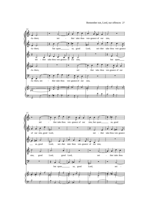

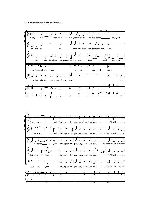